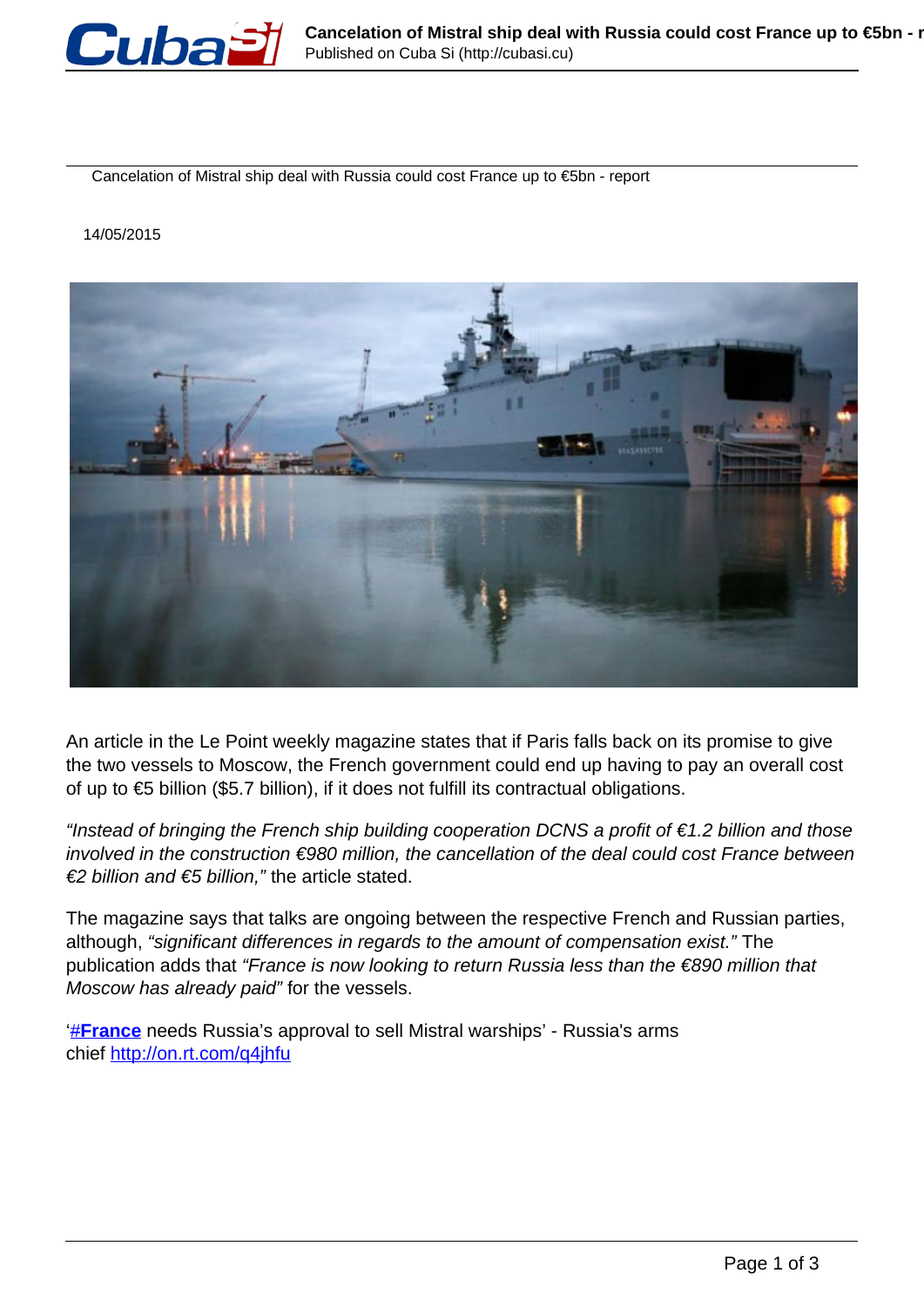

Cancelation of Mistral ship deal with Russia could cost France up to €5bn - report

14/05/2015



An article in the Le Point weekly magazine states that if Paris falls back on its promise to give the two vessels to Moscow, the French government could end up having to pay an overall cost of up to €5 billion (\$5.7 billion), if it does not fulfill its contractual obligations.

"Instead of bringing the French ship building cooperation DCNS a profit of  $\epsilon$  1.2 billion and those involved in the construction €980 million, the cancellation of the deal could cost France between €2 billion and €5 billion," the article stated.

The magazine says that talks are ongoing between the respective French and Russian parties, although, "significant differences in regards to the amount of compensation exist." The publication adds that "France is now looking to return Russia less than the €890 million that Moscow has already paid" for the vessels.

['#](https://twitter.com/hashtag/France?src=hash)**[France](https://twitter.com/hashtag/France?src=hash)** needs Russia's approval to sell Mistral warships' - Russia's arms chief http://on.rt.com/q4jhfu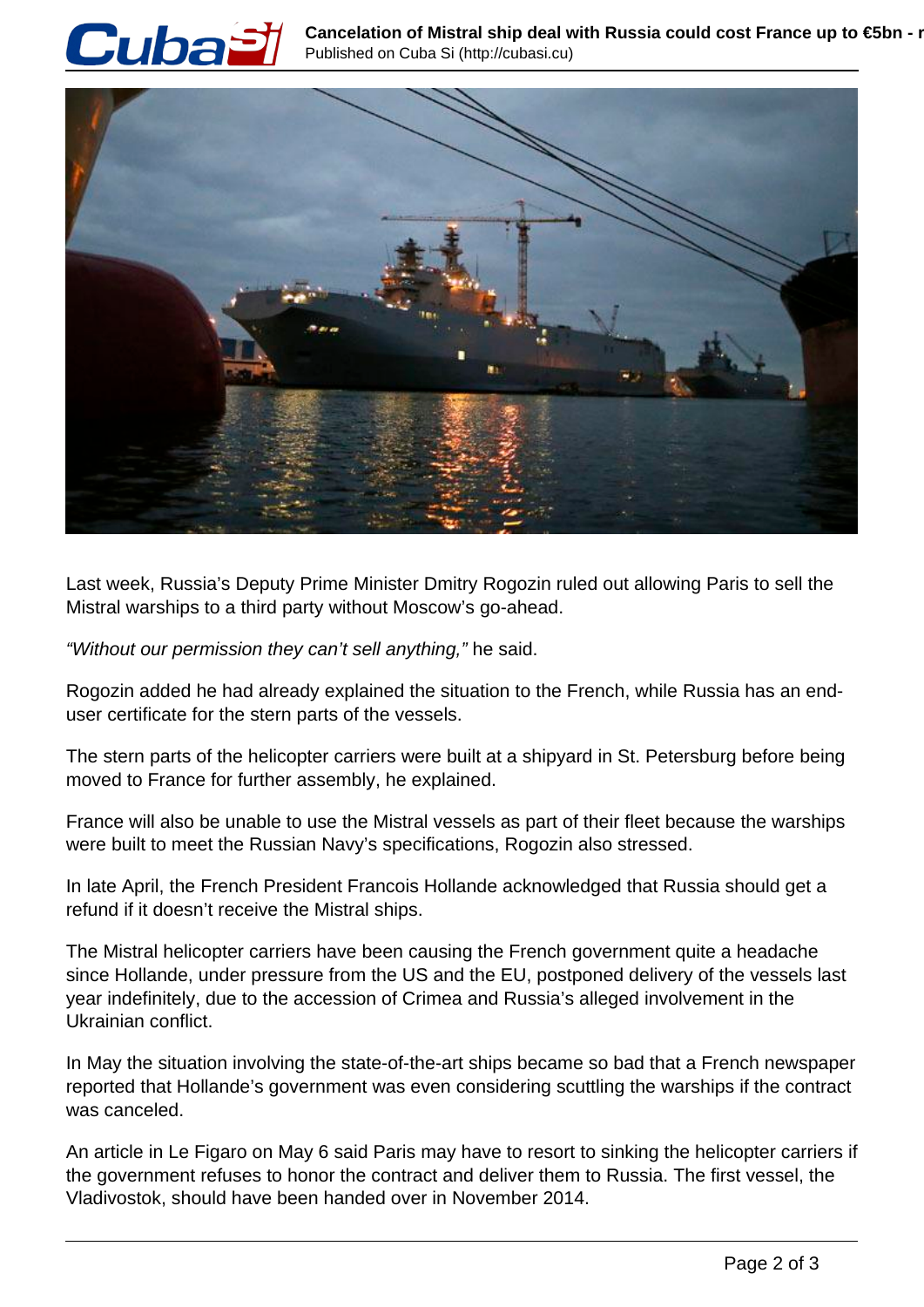



Last week, Russia's Deputy Prime Minister Dmitry Rogozin ruled out allowing Paris to sell the Mistral warships to a third party without Moscow's go-ahead.

"Without our permission they can't sell anything," he said.

Rogozin added he had already explained the situation to the French, while Russia has an enduser certificate for the stern parts of the vessels.

The stern parts of the helicopter carriers were built at a shipyard in St. Petersburg before being moved to France for further assembly, he explained.

France will also be unable to use the Mistral vessels as part of their fleet because the warships were built to meet the Russian Navy's specifications, Rogozin also stressed.

In late April, the French President Francois Hollande acknowledged that Russia should get a refund if it doesn't receive the Mistral ships.

The Mistral helicopter carriers have been causing the French government quite a headache since Hollande, under pressure from the US and the EU, postponed delivery of the vessels last year indefinitely, due to the accession of Crimea and Russia's alleged involvement in the Ukrainian conflict.

In May the situation involving the state-of-the-art ships became so bad that a French newspaper reported that Hollande's government was even considering scuttling the warships if the contract was canceled.

An article in Le Figaro on May 6 said Paris may have to resort to sinking the helicopter carriers if the government refuses to honor the contract and deliver them to Russia. The first vessel, the Vladivostok, should have been handed over in November 2014.